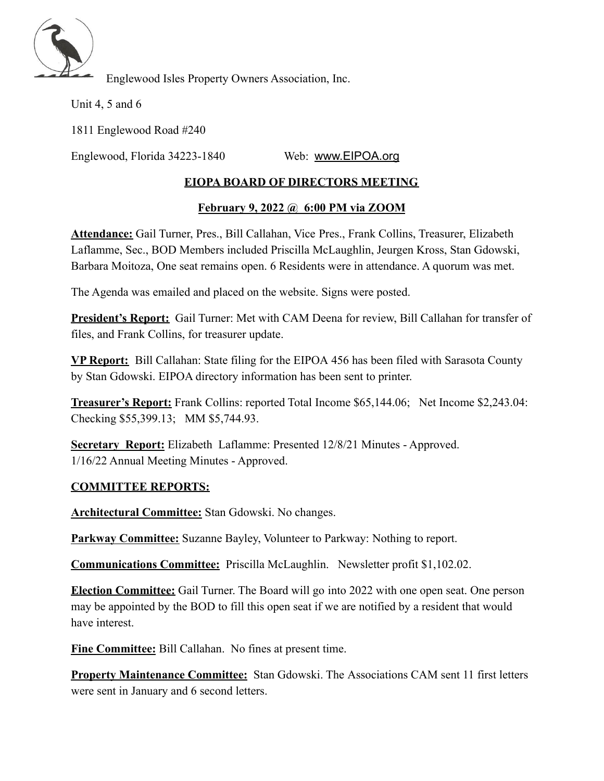

Englewood Isles Property Owners Association, Inc.

Unit 4, 5 and 6

1811 Englewood Road #240

Englewood, Florida 34223-1840 Web: [www.EIPOA.org](http://www.eipoa.org/)

## **EIOPA BOARD OF DIRECTORS MEETING**

## **February 9, 2022 @ 6:00 PM via ZOOM**

**Attendance:** Gail Turner, Pres., Bill Callahan, Vice Pres., Frank Collins, Treasurer, Elizabeth Laflamme, Sec., BOD Members included Priscilla McLaughlin, Jeurgen Kross, Stan Gdowski, Barbara Moitoza, One seat remains open. 6 Residents were in attendance. A quorum was met.

The Agenda was emailed and placed on the website. Signs were posted.

**President's Report:** Gail Turner: Met with CAM Deena for review, Bill Callahan for transfer of files, and Frank Collins, for treasurer update.

**VP Report:** Bill Callahan: State filing for the EIPOA 456 has been filed with Sarasota County by Stan Gdowski. EIPOA directory information has been sent to printer.

**Treasurer's Report:** Frank Collins: reported Total Income \$65,144.06; Net Income \$2,243.04: Checking \$55,399.13; MM \$5,744.93.

**Secretary Report:** Elizabeth Laflamme: Presented 12/8/21 Minutes - Approved. 1/16/22 Annual Meeting Minutes - Approved.

## **COMMITTEE REPORTS:**

**Architectural Committee:** Stan Gdowski. No changes.

**Parkway Committee:** Suzanne Bayley, Volunteer to Parkway: Nothing to report.

**Communications Committee:** Priscilla McLaughlin. Newsletter profit \$1,102.02.

**Election Committee:** Gail Turner. The Board will go into 2022 with one open seat. One person may be appointed by the BOD to fill this open seat if we are notified by a resident that would have interest.

**Fine Committee:** Bill Callahan. No fines at present time.

**Property Maintenance Committee:** Stan Gdowski. The Associations CAM sent 11 first letters were sent in January and 6 second letters.